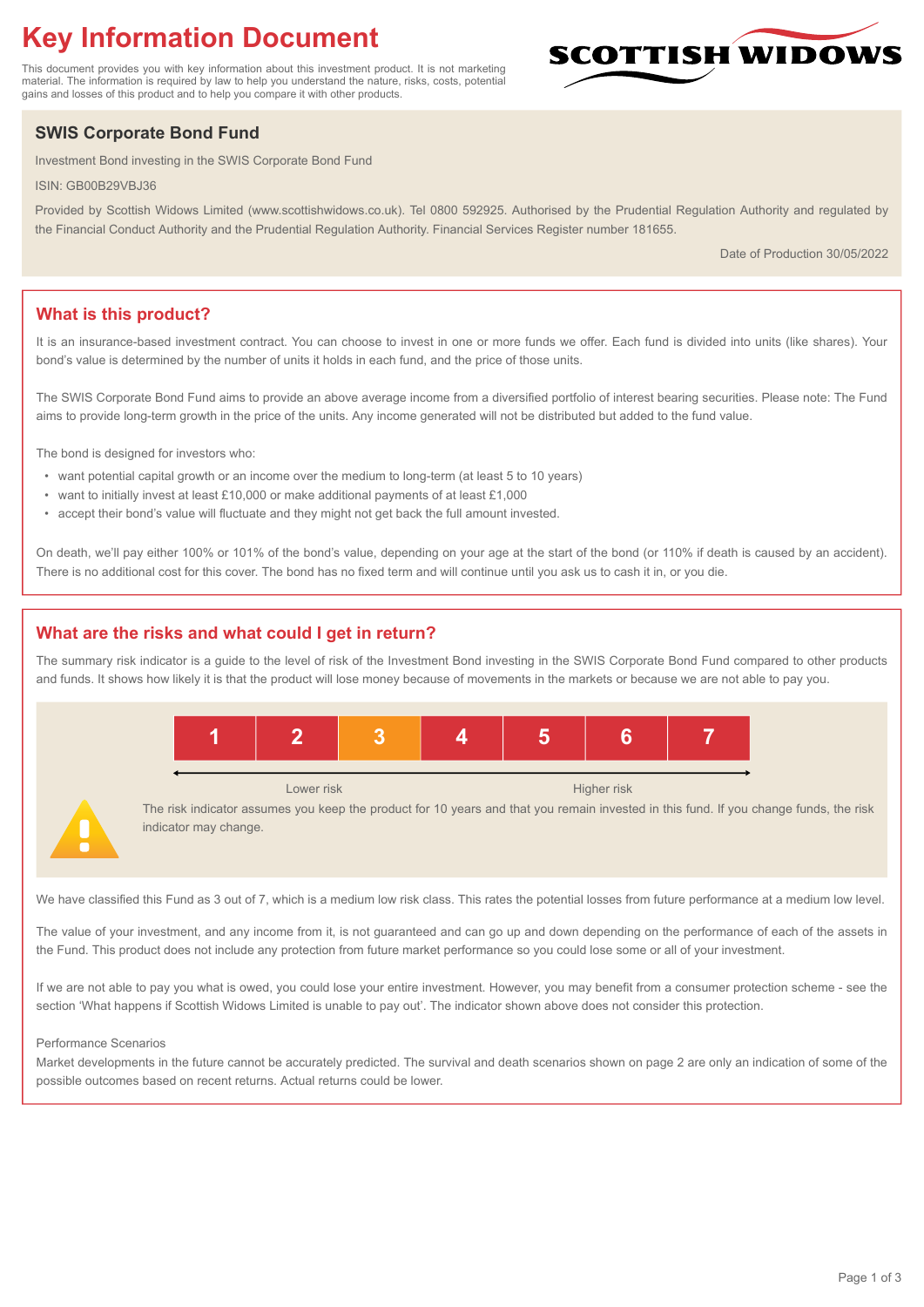# **Key Information Document**

This document provides you with key information about this investment product. It is not marketing material. The information is required by law to help you understand the nature, risks, costs, potential gains and losses of this product and to help you compare it with other products.

# **SWIS Corporate Bond Fund**

Investment Bond investing in the SWIS Corporate Bond Fund

ISIN: GB00B29VBJ36

Provided by Scottish Widows Limited (www.scottishwidows.co.uk). Tel 0800 592925. Authorised by the Prudential Regulation Authority and regulated by the Financial Conduct Authority and the Prudential Regulation Authority. Financial Services Register number 181655.

Date of Production 30/05/2022

**SCOTTISH WIDOW** 

# **What is this product?**

It is an insurance-based investment contract. You can choose to invest in one or more funds we offer. Each fund is divided into units (like shares). Your bond's value is determined by the number of units it holds in each fund, and the price of those units.

The SWIS Corporate Bond Fund aims to provide an above average income from a diversified portfolio of interest bearing securities. Please note: The Fund aims to provide long-term growth in the price of the units. Any income generated will not be distributed but added to the fund value.

The bond is designed for investors who:

- want potential capital growth or an income over the medium to long-term (at least 5 to 10 years)
- want to initially invest at least £10,000 or make additional payments of at least £1,000
- accept their bond's value will fluctuate and they might not get back the full amount invested.

On death, we'll pay either 100% or 101% of the bond's value, depending on your age at the start of the bond (or 110% if death is caused by an accident). There is no additional cost for this cover. The bond has no fixed term and will continue until you ask us to cash it in, or you die.

# **What are the risks and what could I get in return?**

The summary risk indicator is a guide to the level of risk of the Investment Bond investing in the SWIS Corporate Bond Fund compared to other products and funds. It shows how likely it is that the product will lose money because of movements in the markets or because we are not able to pay you.



We have classified this Fund as 3 out of 7, which is a medium low risk class. This rates the potential losses from future performance at a medium low level.

The value of your investment, and any income from it, is not guaranteed and can go up and down depending on the performance of each of the assets in the Fund. This product does not include any protection from future market performance so you could lose some or all of your investment.

If we are not able to pay you what is owed, you could lose your entire investment. However, you may benefit from a consumer protection scheme - see the section 'What happens if Scottish Widows Limited is unable to pay out'. The indicator shown above does not consider this protection.

#### Performance Scenarios

Market developments in the future cannot be accurately predicted. The survival and death scenarios shown on page 2 are only an indication of some of the possible outcomes based on recent returns. Actual returns could be lower.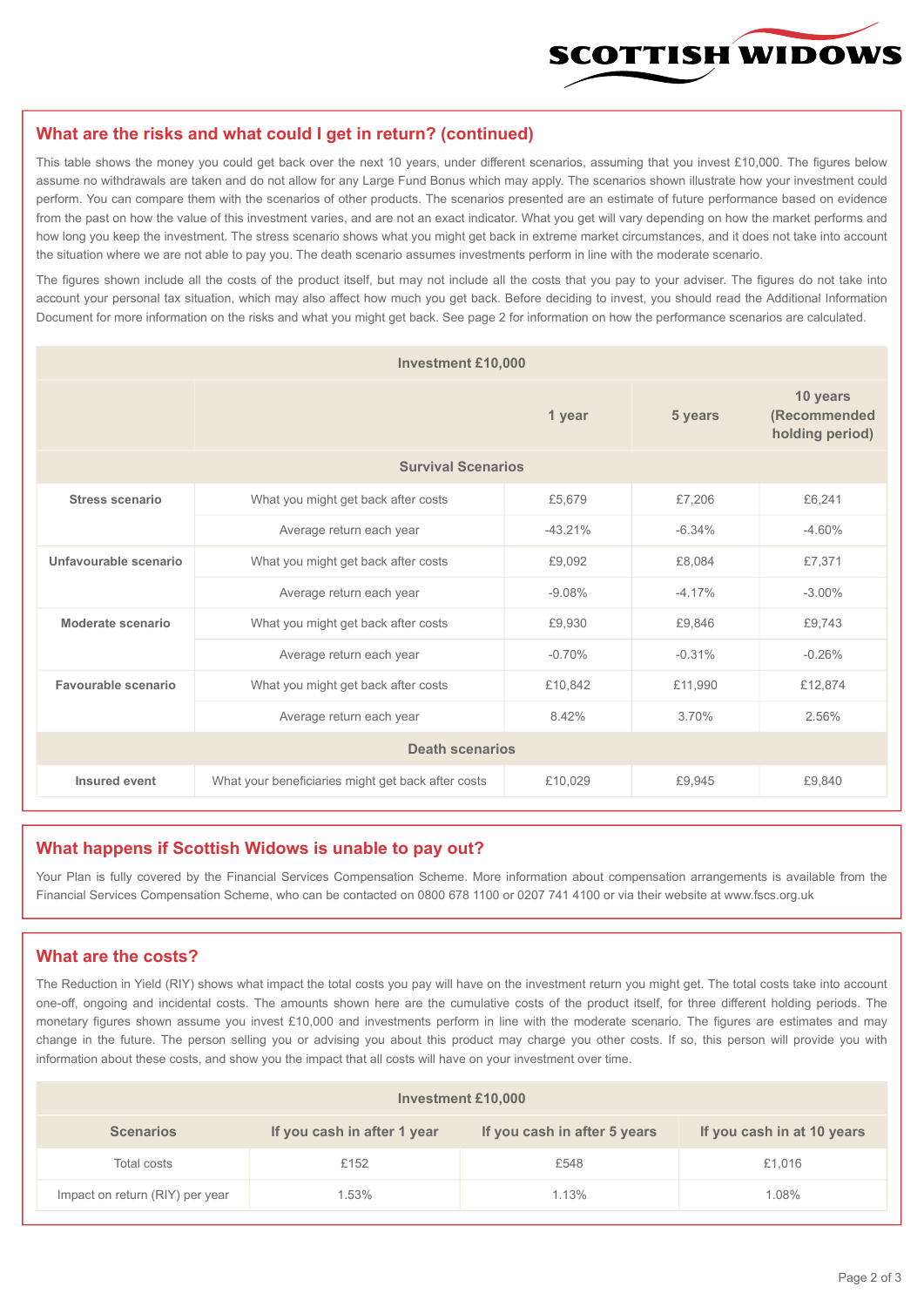

#### **What are the risks and what could I get in return? (continued)**

This table shows the money you could get back over the next 10 years, under different scenarios, assuming that you invest £10,000. The figures below assume no withdrawals are taken and do not allow for any Large Fund Bonus which may apply. The scenarios shown illustrate how your investment could perform. You can compare them with the scenarios of other products. The scenarios presented are an estimate of future performance based on evidence from the past on how the value of this investment varies, and are not an exact indicator. What you get will vary depending on how the market performs and how long you keep the investment. The stress scenario shows what you might get back in extreme market circumstances, and it does not take into account the situation where we are not able to pay you. The death scenario assumes investments perform in line with the moderate scenario.

The figures shown include all the costs of the product itself, but may not include all the costs that you pay to your adviser. The figures do not take into account your personal tax situation, which may also affect how much you get back. Before deciding to invest, you should read the Additional Information Document for more information on the risks and what you might get back. See page 2 for information on how the performance scenarios are calculated.

| <b>Investment £10,000</b> |                                                    |          |          |                                             |  |  |  |
|---------------------------|----------------------------------------------------|----------|----------|---------------------------------------------|--|--|--|
|                           |                                                    | 1 year   | 5 years  | 10 years<br>(Recommended<br>holding period) |  |  |  |
| <b>Survival Scenarios</b> |                                                    |          |          |                                             |  |  |  |
| <b>Stress scenario</b>    | What you might get back after costs<br>£5,679      |          | £7,206   | £6,241                                      |  |  |  |
|                           | $-43.21%$<br>Average return each year              |          | $-6.34%$ | $-4.60%$                                    |  |  |  |
| Unfavourable scenario     | What you might get back after costs                | £9,092   | £8,084   | £7,371                                      |  |  |  |
|                           | Average return each year                           | $-9.08%$ | $-4.17%$ | $-3.00\%$                                   |  |  |  |
| Moderate scenario         | What you might get back after costs                | £9,930   | £9,846   | £9.743                                      |  |  |  |
|                           | Average return each year                           | $-0.70%$ | $-0.31%$ | $-0.26%$                                    |  |  |  |
| Favourable scenario       | What you might get back after costs                | £10,842  | £11,990  | £12,874                                     |  |  |  |
|                           | Average return each year                           | 8.42%    | 3.70%    | 2.56%                                       |  |  |  |
| <b>Death scenarios</b>    |                                                    |          |          |                                             |  |  |  |
| Insured event             | What your beneficiaries might get back after costs | £10,029  | £9.945   | £9,840                                      |  |  |  |

#### **What happens if Scottish Widows is unable to pay out?**

Your Plan is fully covered by the Financial Services Compensation Scheme. More information about compensation arrangements is available from the Financial Services Compensation Scheme, who can be contacted on 0800 678 1100 or 0207 741 4100 or via their website at www.fscs.org.uk

# **What are the costs?**

The Reduction in Yield (RIY) shows what impact the total costs you pay will have on the investment return you might get. The total costs take into account one-off, ongoing and incidental costs. The amounts shown here are the cumulative costs of the product itself, for three different holding periods. The monetary figures shown assume you invest £10,000 and investments perform in line with the moderate scenario. The figures are estimates and may change in the future. The person selling you or advising you about this product may charge you other costs. If so, this person will provide you with information about these costs, and show you the impact that all costs will have on your investment over time.

| <b>Investment £10,000</b>       |                             |                              |                            |  |  |  |
|---------------------------------|-----------------------------|------------------------------|----------------------------|--|--|--|
| <b>Scenarios</b>                | If you cash in after 1 year | If you cash in after 5 years | If you cash in at 10 years |  |  |  |
| Total costs                     | £152                        | £548                         | £1,016                     |  |  |  |
| Impact on return (RIY) per year | 1.53%                       | 1.13%                        | 1.08%                      |  |  |  |